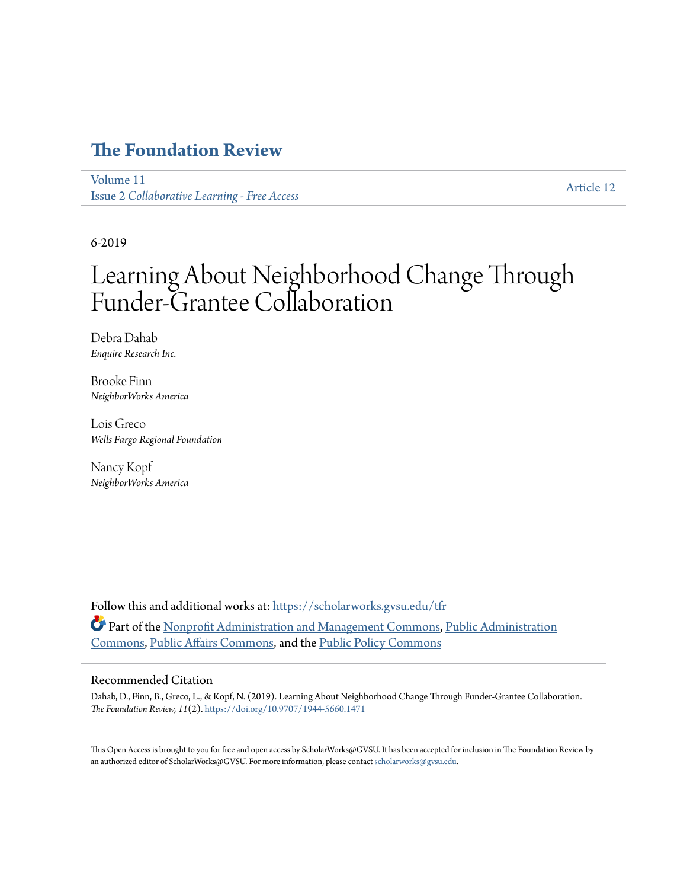## **[The Foundation Review](https://scholarworks.gvsu.edu/tfr?utm_source=scholarworks.gvsu.edu%2Ftfr%2Fvol11%2Fiss2%2F12&utm_medium=PDF&utm_campaign=PDFCoverPages)**

[Volume 11](https://scholarworks.gvsu.edu/tfr/vol11?utm_source=scholarworks.gvsu.edu%2Ftfr%2Fvol11%2Fiss2%2F12&utm_medium=PDF&utm_campaign=PDFCoverPages) Issue 2 *[Collaborative Learning - Free Access](https://scholarworks.gvsu.edu/tfr/vol11/iss2?utm_source=scholarworks.gvsu.edu%2Ftfr%2Fvol11%2Fiss2%2F12&utm_medium=PDF&utm_campaign=PDFCoverPages)*

[Article 12](https://scholarworks.gvsu.edu/tfr/vol11/iss2/12?utm_source=scholarworks.gvsu.edu%2Ftfr%2Fvol11%2Fiss2%2F12&utm_medium=PDF&utm_campaign=PDFCoverPages)

6-2019

# Learning About Neighborhood Change Through Funder-Grantee Collaboration

Debra Dahab *Enquire Research Inc.*

Brooke Finn *NeighborWorks America*

Lois Greco *Wells Fargo Regional Foundation*

Nancy Kopf *NeighborWorks America*

Follow this and additional works at: [https://scholarworks.gvsu.edu/tfr](https://scholarworks.gvsu.edu/tfr?utm_source=scholarworks.gvsu.edu%2Ftfr%2Fvol11%2Fiss2%2F12&utm_medium=PDF&utm_campaign=PDFCoverPages) Part of the [Nonprofit Administration and Management Commons](http://network.bepress.com/hgg/discipline/1228?utm_source=scholarworks.gvsu.edu%2Ftfr%2Fvol11%2Fiss2%2F12&utm_medium=PDF&utm_campaign=PDFCoverPages), [Public Administration](http://network.bepress.com/hgg/discipline/398?utm_source=scholarworks.gvsu.edu%2Ftfr%2Fvol11%2Fiss2%2F12&utm_medium=PDF&utm_campaign=PDFCoverPages) [Commons,](http://network.bepress.com/hgg/discipline/398?utm_source=scholarworks.gvsu.edu%2Ftfr%2Fvol11%2Fiss2%2F12&utm_medium=PDF&utm_campaign=PDFCoverPages) [Public Affairs Commons,](http://network.bepress.com/hgg/discipline/399?utm_source=scholarworks.gvsu.edu%2Ftfr%2Fvol11%2Fiss2%2F12&utm_medium=PDF&utm_campaign=PDFCoverPages) and the [Public Policy Commons](http://network.bepress.com/hgg/discipline/400?utm_source=scholarworks.gvsu.edu%2Ftfr%2Fvol11%2Fiss2%2F12&utm_medium=PDF&utm_campaign=PDFCoverPages)

#### Recommended Citation

Dahab, D., Finn, B., Greco, L., & Kopf, N. (2019). Learning About Neighborhood Change Through Funder-Grantee Collaboration. *The Foundation Review, 11*(2). <https://doi.org/10.9707/1944-5660.1471>

This Open Access is brought to you for free and open access by ScholarWorks@GVSU. It has been accepted for inclusion in The Foundation Review by an authorized editor of ScholarWorks@GVSU. For more information, please contact [scholarworks@gvsu.edu](mailto:scholarworks@gvsu.edu).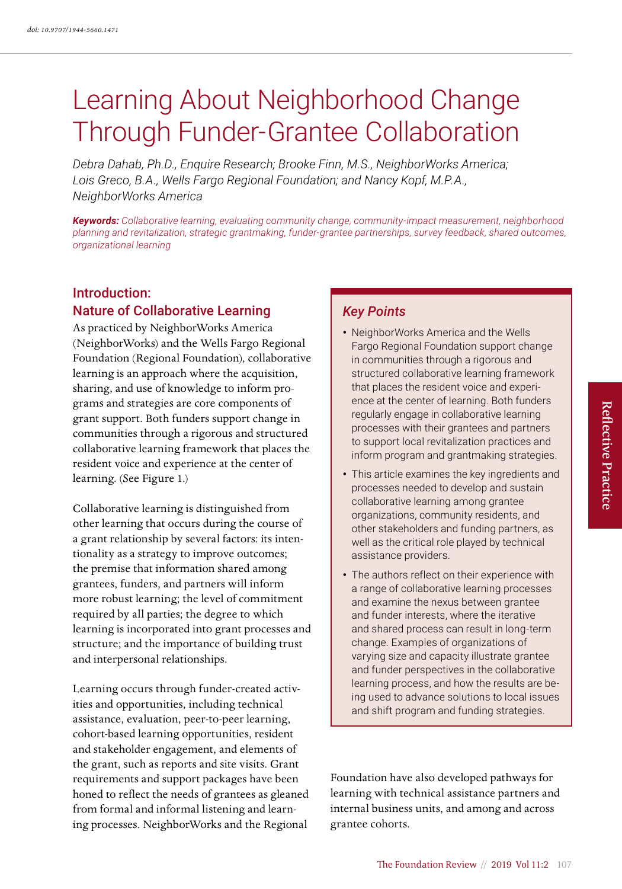# Learning About Neighborhood Change Through Funder-Grantee Collaboration

*Debra Dahab, Ph.D., Enquire Research; Brooke Finn, M.S., NeighborWorks America; Lois Greco, B.A., Wells Fargo Regional Foundation; and Nancy Kopf, M.P.A., NeighborWorks America*

*Keywords: Collaborative learning, evaluating community change, community-impact measurement, neighborhood planning and revitalization, strategic grantmaking, funder-grantee partnerships, survey feedback, shared outcomes, organizational learning*

## Introduction: Nature of Collaborative Learning

As practiced by NeighborWorks America (NeighborWorks) and the Wells Fargo Regional Foundation (Regional Foundation), collaborative learning is an approach where the acquisition, sharing, and use of knowledge to inform programs and strategies are core components of grant support. Both funders support change in communities through a rigorous and structured collaborative learning framework that places the resident voice and experience at the center of learning. (See Figure 1.)

Collaborative learning is distinguished from other learning that occurs during the course of a grant relationship by several factors: its intentionality as a strategy to improve outcomes; the premise that information shared among grantees, funders, and partners will inform more robust learning; the level of commitment required by all parties; the degree to which learning is incorporated into grant processes and structure; and the importance of building trust and interpersonal relationships.

Learning occurs through funder-created activities and opportunities, including technical assistance, evaluation, peer-to-peer learning, cohort-based learning opportunities, resident and stakeholder engagement, and elements of the grant, such as reports and site visits. Grant requirements and support packages have been honed to reflect the needs of grantees as gleaned from formal and informal listening and learning processes. NeighborWorks and the Regional

## *Key Points*

- NeighborWorks America and the Wells Fargo Regional Foundation support change in communities through a rigorous and structured collaborative learning framework that places the resident voice and experience at the center of learning. Both funders regularly engage in collaborative learning processes with their grantees and partners to support local revitalization practices and inform program and grantmaking strategies.
- This article examines the key ingredients and processes needed to develop and sustain collaborative learning among grantee organizations, community residents, and other stakeholders and funding partners, as well as the critical role played by technical assistance providers.
- The authors reflect on their experience with a range of collaborative learning processes and examine the nexus between grantee and funder interests, where the iterative and shared process can result in long-term change. Examples of organizations of varying size and capacity illustrate grantee and funder perspectives in the collaborative learning process, and how the results are being used to advance solutions to local issues and shift program and funding strategies.

Foundation have also developed pathways for learning with technical assistance partners and internal business units, and among and across grantee cohorts.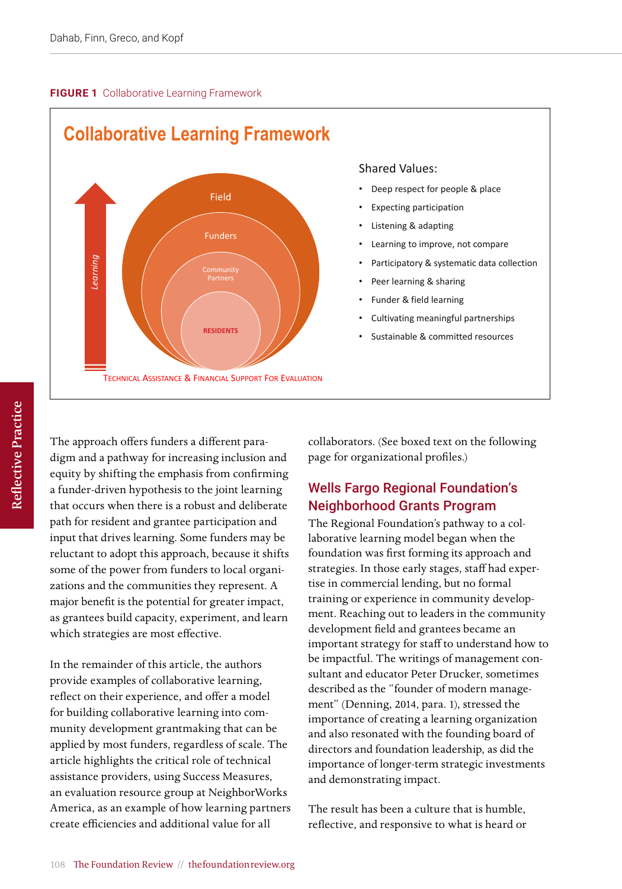#### **FIGURE 1** Collaborative Learning Framework



#### Shared Values:

- Deep respect for people & place
- **Expecting participation**
- Listening & adapting
- Learning to improve, not compare
- Participatory & systematic data collection
- Peer learning & sharing
- Funder & field learning
- Cultivating meaningful partnerships
- Sustainable & committed resources

The approach offers funders a different paradigm and a pathway for increasing inclusion and equity by shifting the emphasis from confirming a funder-driven hypothesis to the joint learning that occurs when there is a robust and deliberate path for resident and grantee participation and input that drives learning. Some funders may be reluctant to adopt this approach, because it shifts some of the power from funders to local organizations and the communities they represent. A major benefit is the potential for greater impact, as grantees build capacity, experiment, and learn which strategies are most effective.

In the remainder of this article, the authors provide examples of collaborative learning, reflect on their experience, and offer a model for building collaborative learning into community development grantmaking that can be applied by most funders, regardless of scale. The article highlights the critical role of technical assistance providers, using Success Measures, an evaluation resource group at NeighborWorks America, as an example of how learning partners create efficiencies and additional value for all

collaborators. (See boxed text on the following page for organizational profiles.)

## Wells Fargo Regional Foundation's Neighborhood Grants Program

The Regional Foundation's pathway to a collaborative learning model began when the foundation was first forming its approach and strategies. In those early stages, staff had expertise in commercial lending, but no formal training or experience in community development. Reaching out to leaders in the community development field and grantees became an important strategy for staff to understand how to be impactful. The writings of management consultant and educator Peter Drucker, sometimes described as the "founder of modern management" (Denning, 2014, para. 1), stressed the importance of creating a learning organization and also resonated with the founding board of directors and foundation leadership, as did the importance of longer-term strategic investments and demonstrating impact.

The result has been a culture that is humble, reflective, and responsive to what is heard or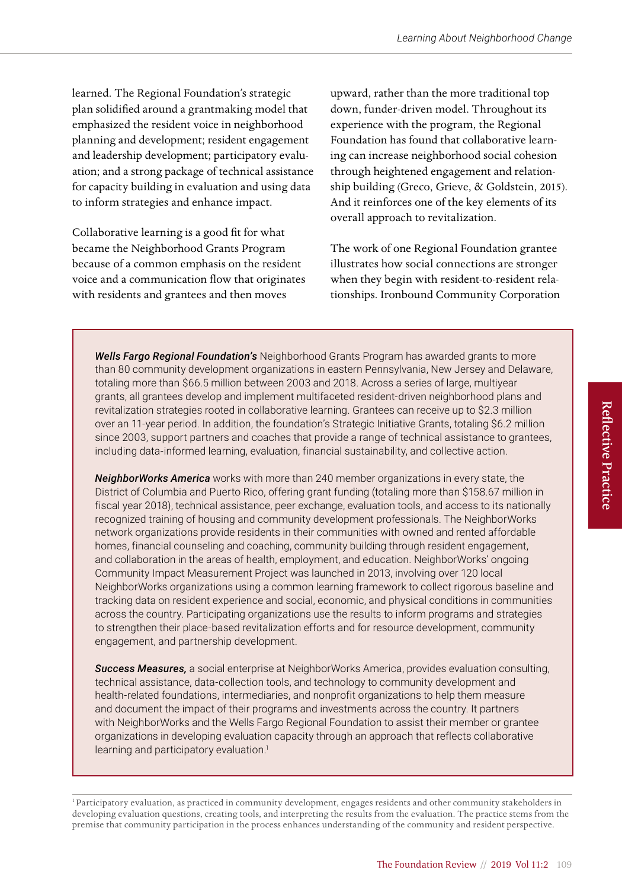learned. The Regional Foundation's strategic plan solidified around a grantmaking model that emphasized the resident voice in neighborhood planning and development; resident engagement and leadership development; participatory evaluation; and a strong package of technical assistance for capacity building in evaluation and using data to inform strategies and enhance impact.

Collaborative learning is a good fit for what became the Neighborhood Grants Program because of a common emphasis on the resident voice and a communication flow that originates with residents and grantees and then moves

upward, rather than the more traditional top down, funder-driven model. Throughout its experience with the program, the Regional Foundation has found that collaborative learning can increase neighborhood social cohesion through heightened engagement and relationship building (Greco, Grieve, & Goldstein, 2015). And it reinforces one of the key elements of its overall approach to revitalization.

The work of one Regional Foundation grantee illustrates how social connections are stronger when they begin with resident-to-resident relationships. Ironbound Community Corporation

*Wells Fargo Regional Foundation's* Neighborhood Grants Program has awarded grants to more than 80 community development organizations in eastern Pennsylvania, New Jersey and Delaware, totaling more than \$66.5 million between 2003 and 2018. Across a series of large, multiyear grants, all grantees develop and implement multifaceted resident-driven neighborhood plans and revitalization strategies rooted in collaborative learning. Grantees can receive up to \$2.3 million over an 11-year period. In addition, the foundation's Strategic Initiative Grants, totaling \$6.2 million since 2003, support partners and coaches that provide a range of technical assistance to grantees, including data-informed learning, evaluation, financial sustainability, and collective action.

*NeighborWorks America* works with more than 240 member organizations in every state, the District of Columbia and Puerto Rico, offering grant funding (totaling more than \$158.67 million in fiscal year 2018), technical assistance, peer exchange, evaluation tools, and access to its nationally recognized training of housing and community development professionals. The NeighborWorks network organizations provide residents in their communities with owned and rented affordable homes, financial counseling and coaching, community building through resident engagement, and collaboration in the areas of health, employment, and education. NeighborWorks' ongoing Community Impact Measurement Project was launched in 2013, involving over 120 local NeighborWorks organizations using a common learning framework to collect rigorous baseline and tracking data on resident experience and social, economic, and physical conditions in communities across the country. Participating organizations use the results to inform programs and strategies to strengthen their place-based revitalization efforts and for resource development, community engagement, and partnership development.

*Success Measures,* a social enterprise at NeighborWorks America, provides evaluation consulting, technical assistance, data-collection tools, and technology to community development and health-related foundations, intermediaries, and nonprofit organizations to help them measure and document the impact of their programs and investments across the country. It partners with NeighborWorks and the Wells Fargo Regional Foundation to assist their member or grantee organizations in developing evaluation capacity through an approach that reflects collaborative learning and participatory evaluation.<sup>1</sup>

1 Participatory evaluation, as practiced in community development, engages residents and other community stakeholders in developing evaluation questions, creating tools, and interpreting the results from the evaluation. The practice stems from the premise that community participation in the process enhances understanding of the community and resident perspective.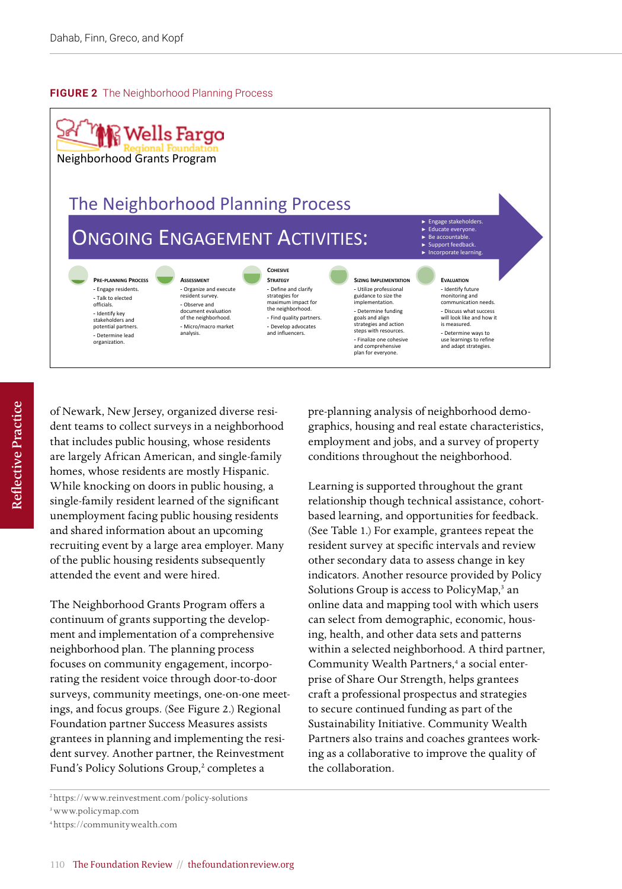#### **FIGURE 2** The Neighborhood Planning Process



of Newark, New Jersey, organized diverse resident teams to collect surveys in a neighborhood that includes public housing, whose residents are largely African American, and single-family homes, whose residents are mostly Hispanic. While knocking on doors in public housing, a single-family resident learned of the significant unemployment facing public housing residents and shared information about an upcoming recruiting event by a large area employer. Many of the public housing residents subsequently attended the event and were hired.

The Neighborhood Grants Program offers a continuum of grants supporting the development and implementation of a comprehensive neighborhood plan. The planning process focuses on community engagement, incorporating the resident voice through door-to-door surveys, community meetings, one-on-one meetings, and focus groups. (See Figure 2.) Regional Foundation partner Success Measures assists grantees in planning and implementing the resident survey. Another partner, the Reinvestment Fund's Policy Solutions Group,<sup>2</sup> completes a

pre-planning analysis of neighborhood demographics, housing and real estate characteristics, employment and jobs, and a survey of property conditions throughout the neighborhood.

Learning is supported throughout the grant relationship though technical assistance, cohortbased learning, and opportunities for feedback. (See Table 1.) For example, grantees repeat the resident survey at specific intervals and review other secondary data to assess change in key indicators. Another resource provided by Policy Solutions Group is access to PolicyMap,<sup>3</sup> an online data and mapping tool with which users can select from demographic, economic, housing, health, and other data sets and patterns within a selected neighborhood. A third partner, Community Wealth Partners,<sup>4</sup> a social enterprise of Share Our Strength, helps grantees craft a professional prospectus and strategies to secure continued funding as part of the Sustainability Initiative. Community Wealth Partners also trains and coaches grantees working as a collaborative to improve the quality of the collaboration.

3<www.policymap.com>

<sup>2</sup><https://www.reinvestment.com/policy-solutions>

<sup>4</sup><https://communitywealth.com>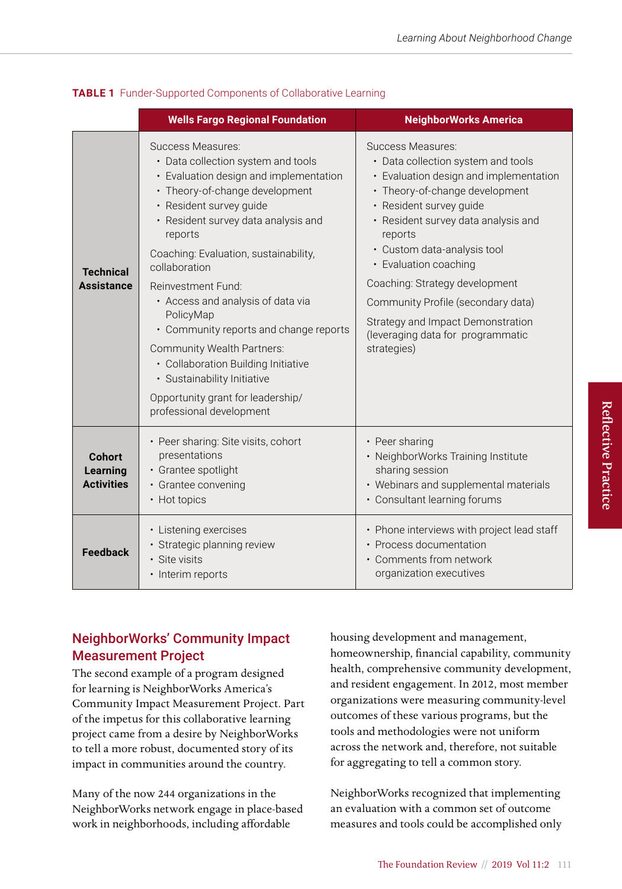|                                                | <b>Wells Fargo Regional Foundation</b>                                                                                                                                                                                                                                                                                                                                                                                                                                                                                                                            | <b>NeighborWorks America</b>                                                                                                                                                                                                                                                                                                                                                                                                              |
|------------------------------------------------|-------------------------------------------------------------------------------------------------------------------------------------------------------------------------------------------------------------------------------------------------------------------------------------------------------------------------------------------------------------------------------------------------------------------------------------------------------------------------------------------------------------------------------------------------------------------|-------------------------------------------------------------------------------------------------------------------------------------------------------------------------------------------------------------------------------------------------------------------------------------------------------------------------------------------------------------------------------------------------------------------------------------------|
| <b>Technical</b><br><b>Assistance</b>          | Success Measures:<br>• Data collection system and tools<br>• Evaluation design and implementation<br>• Theory-of-change development<br>· Resident survey guide<br>• Resident survey data analysis and<br>reports<br>Coaching: Evaluation, sustainability,<br>collaboration<br>Reinvestment Fund:<br>• Access and analysis of data via<br>PolicyMap<br>• Community reports and change reports<br>Community Wealth Partners:<br>• Collaboration Building Initiative<br>· Sustainability Initiative<br>Opportunity grant for leadership/<br>professional development | Success Measures:<br>• Data collection system and tools<br>• Evaluation design and implementation<br>• Theory-of-change development<br>· Resident survey guide<br>• Resident survey data analysis and<br>reports<br>• Custom data-analysis tool<br>• Evaluation coaching<br>Coaching: Strategy development<br>Community Profile (secondary data)<br>Strategy and Impact Demonstration<br>(leveraging data for programmatic<br>strategies) |
| <b>Cohort</b><br>Learning<br><b>Activities</b> | • Peer sharing: Site visits, cohort<br>presentations<br>• Grantee spotlight<br>· Grantee convening<br>• Hot topics                                                                                                                                                                                                                                                                                                                                                                                                                                                | • Peer sharing<br>• NeighborWorks Training Institute<br>sharing session<br>• Webinars and supplemental materials<br>• Consultant learning forums                                                                                                                                                                                                                                                                                          |
| <b>Feedback</b>                                | • Listening exercises<br>· Strategic planning review<br>· Site visits<br>• Interim reports                                                                                                                                                                                                                                                                                                                                                                                                                                                                        | • Phone interviews with project lead staff<br>• Process documentation<br>• Comments from network<br>organization executives                                                                                                                                                                                                                                                                                                               |

#### **TABLE 1** Funder-Supported Components of Collaborative Learning

## NeighborWorks' Community Impact Measurement Project

The second example of a program designed for learning is NeighborWorks America's Community Impact Measurement Project. Part of the impetus for this collaborative learning project came from a desire by NeighborWorks to tell a more robust, documented story of its impact in communities around the country.

Many of the now 244 organizations in the NeighborWorks network engage in place-based work in neighborhoods, including affordable

housing development and management, homeownership, financial capability, community health, comprehensive community development, and resident engagement. In 2012, most member organizations were measuring community-level outcomes of these various programs, but the tools and methodologies were not uniform across the network and, therefore, not suitable for aggregating to tell a common story.

NeighborWorks recognized that implementing an evaluation with a common set of outcome measures and tools could be accomplished only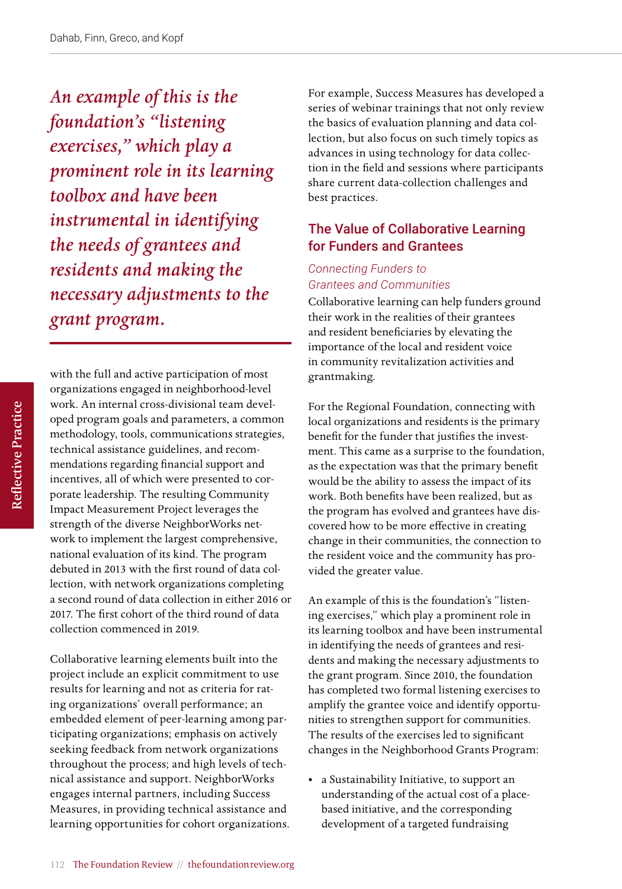*An example of this is the foundation's "listening exercises," which play a prominent role in its learning toolbox and have been instrumental in identifying the needs of grantees and residents and making the necessary adjustments to the grant program.* 

with the full and active participation of most organizations engaged in neighborhood-level work. An internal cross-divisional team developed program goals and parameters, a common methodology, tools, communications strategies, technical assistance guidelines, and recommendations regarding financial support and incentives, all of which were presented to corporate leadership. The resulting Community Impact Measurement Project leverages the strength of the diverse NeighborWorks network to implement the largest comprehensive, national evaluation of its kind. The program debuted in 2013 with the first round of data collection, with network organizations completing a second round of data collection in either 2016 or 2017. The first cohort of the third round of data collection commenced in 2019.

Collaborative learning elements built into the project include an explicit commitment to use results for learning and not as criteria for rating organizations' overall performance; an embedded element of peer-learning among participating organizations; emphasis on actively seeking feedback from network organizations throughout the process; and high levels of technical assistance and support. NeighborWorks engages internal partners, including Success Measures, in providing technical assistance and learning opportunities for cohort organizations. For example, Success Measures has developed a series of webinar trainings that not only review the basics of evaluation planning and data collection, but also focus on such timely topics as advances in using technology for data collection in the field and sessions where participants share current data-collection challenges and best practices.

## The Value of Collaborative Learning for Funders and Grantees

#### *Connecting Funders to Grantees and Communities*

Collaborative learning can help funders ground their work in the realities of their grantees and resident beneficiaries by elevating the importance of the local and resident voice in community revitalization activities and grantmaking.

For the Regional Foundation, connecting with local organizations and residents is the primary benefit for the funder that justifies the investment. This came as a surprise to the foundation, as the expectation was that the primary benefit would be the ability to assess the impact of its work. Both benefits have been realized, but as the program has evolved and grantees have discovered how to be more effective in creating change in their communities, the connection to the resident voice and the community has provided the greater value.

An example of this is the foundation's "listening exercises," which play a prominent role in its learning toolbox and have been instrumental in identifying the needs of grantees and residents and making the necessary adjustments to the grant program. Since 2010, the foundation has completed two formal listening exercises to amplify the grantee voice and identify opportunities to strengthen support for communities. The results of the exercises led to significant changes in the Neighborhood Grants Program:

• a Sustainability Initiative, to support an understanding of the actual cost of a placebased initiative, and the corresponding development of a targeted fundraising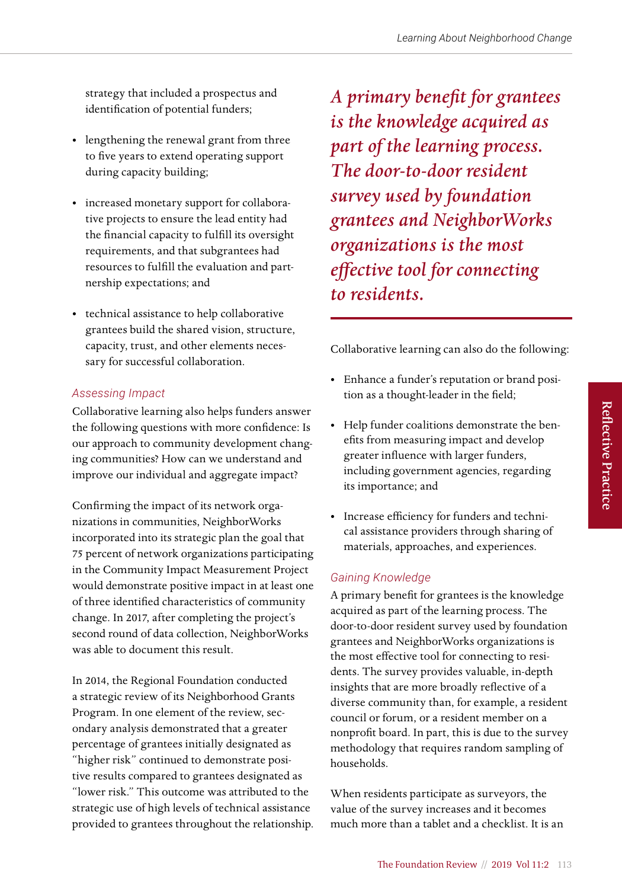strategy that included a prospectus and identification of potential funders;

- lengthening the renewal grant from three to five years to extend operating support during capacity building;
- increased monetary support for collaborative projects to ensure the lead entity had the financial capacity to fulfill its oversight requirements, and that subgrantees had resources to fulfill the evaluation and partnership expectations; and
- technical assistance to help collaborative grantees build the shared vision, structure, capacity, trust, and other elements necessary for successful collaboration.

#### *Assessing Impact*

Collaborative learning also helps funders answer the following questions with more confidence: Is our approach to community development changing communities? How can we understand and improve our individual and aggregate impact?

Confirming the impact of its network organizations in communities, NeighborWorks incorporated into its strategic plan the goal that 75 percent of network organizations participating in the Community Impact Measurement Project would demonstrate positive impact in at least one of three identified characteristics of community change. In 2017, after completing the project's second round of data collection, NeighborWorks was able to document this result.

In 2014, the Regional Foundation conducted a strategic review of its Neighborhood Grants Program. In one element of the review, secondary analysis demonstrated that a greater percentage of grantees initially designated as "higher risk" continued to demonstrate positive results compared to grantees designated as "lower risk." This outcome was attributed to the strategic use of high levels of technical assistance provided to grantees throughout the relationship. *A primary benefit for grantees is the knowledge acquired as part of the learning process. The door-to-door resident survey used by foundation grantees and NeighborWorks organizations is the most effective tool for connecting to residents.* 

Collaborative learning can also do the following:

- Enhance a funder's reputation or brand position as a thought-leader in the field;
- Help funder coalitions demonstrate the benefits from measuring impact and develop greater influence with larger funders, including government agencies, regarding its importance; and
- Increase efficiency for funders and technical assistance providers through sharing of materials, approaches, and experiences.

### *Gaining Knowledge*

A primary benefit for grantees is the knowledge acquired as part of the learning process. The door-to-door resident survey used by foundation grantees and NeighborWorks organizations is the most effective tool for connecting to residents. The survey provides valuable, in-depth insights that are more broadly reflective of a diverse community than, for example, a resident council or forum, or a resident member on a nonprofit board. In part, this is due to the survey methodology that requires random sampling of households.

When residents participate as surveyors, the value of the survey increases and it becomes much more than a tablet and a checklist. It is an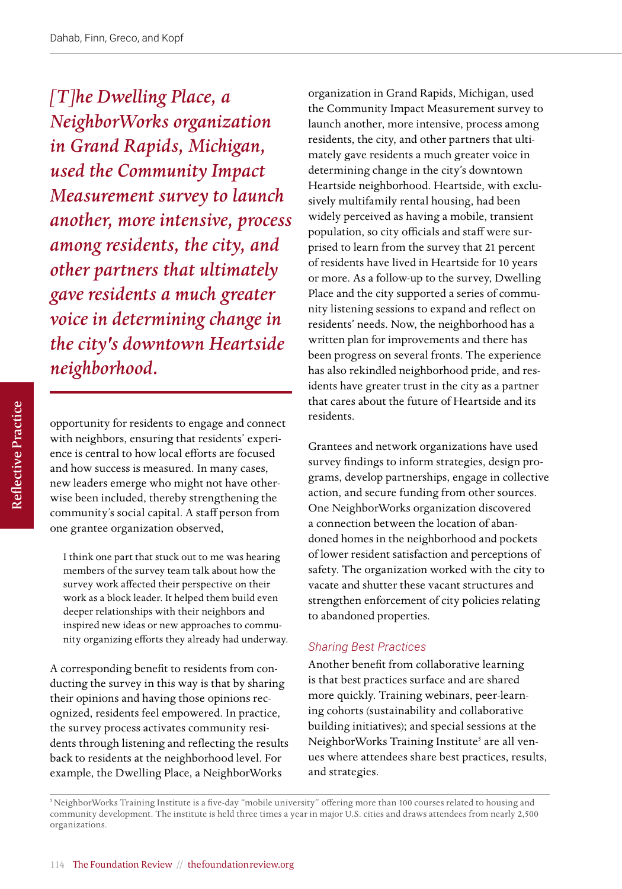*[T]he Dwelling Place, a NeighborWorks organization in Grand Rapids, Michigan, used the Community Impact Measurement survey to launch another, more intensive, process among residents, the city, and other partners that ultimately gave residents a much greater voice in determining change in the city's downtown Heartside neighborhood.* 

opportunity for residents to engage and connect with neighbors, ensuring that residents' experience is central to how local efforts are focused and how success is measured. In many cases, new leaders emerge who might not have otherwise been included, thereby strengthening the community's social capital. A staff person from one grantee organization observed,

I think one part that stuck out to me was hearing members of the survey team talk about how the survey work affected their perspective on their work as a block leader. It helped them build even deeper relationships with their neighbors and inspired new ideas or new approaches to community organizing efforts they already had underway.

A corresponding benefit to residents from conducting the survey in this way is that by sharing their opinions and having those opinions recognized, residents feel empowered. In practice, the survey process activates community residents through listening and reflecting the results back to residents at the neighborhood level. For example, the Dwelling Place, a NeighborWorks

organization in Grand Rapids, Michigan, used the Community Impact Measurement survey to launch another, more intensive, process among residents, the city, and other partners that ultimately gave residents a much greater voice in determining change in the city's downtown Heartside neighborhood. Heartside, with exclusively multifamily rental housing, had been widely perceived as having a mobile, transient population, so city officials and staff were surprised to learn from the survey that 21 percent of residents have lived in Heartside for 10 years or more. As a follow-up to the survey, Dwelling Place and the city supported a series of community listening sessions to expand and reflect on residents' needs. Now, the neighborhood has a written plan for improvements and there has been progress on several fronts. The experience has also rekindled neighborhood pride, and residents have greater trust in the city as a partner that cares about the future of Heartside and its residents.

Grantees and network organizations have used survey findings to inform strategies, design programs, develop partnerships, engage in collective action, and secure funding from other sources. One NeighborWorks organization discovered a connection between the location of abandoned homes in the neighborhood and pockets of lower resident satisfaction and perceptions of safety. The organization worked with the city to vacate and shutter these vacant structures and strengthen enforcement of city policies relating to abandoned properties.

#### *Sharing Best Practices*

Another benefit from collaborative learning is that best practices surface and are shared more quickly. Training webinars, peer-learning cohorts (sustainability and collaborative building initiatives); and special sessions at the NeighborWorks Training Institute<sup>5</sup> are all venues where attendees share best practices, results, and strategies.

<sup>5</sup> NeighborWorks Training Institute is a five-day "mobile university" offering more than 100 courses related to housing and community development. The institute is held three times a year in major U.S. cities and draws attendees from nearly 2,500 organizations.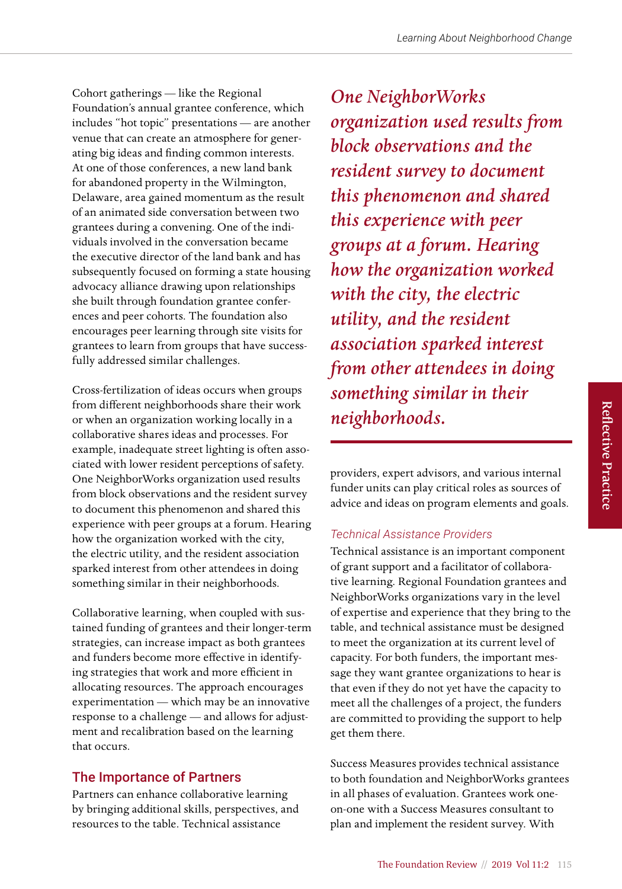Cohort gatherings — like the Regional Foundation's annual grantee conference, which includes "hot topic" presentations — are another venue that can create an atmosphere for generating big ideas and finding common interests. At one of those conferences, a new land bank for abandoned property in the Wilmington, Delaware, area gained momentum as the result of an animated side conversation between two grantees during a convening. One of the individuals involved in the conversation became the executive director of the land bank and has subsequently focused on forming a state housing advocacy alliance drawing upon relationships she built through foundation grantee conferences and peer cohorts. The foundation also encourages peer learning through site visits for grantees to learn from groups that have successfully addressed similar challenges.

Cross-fertilization of ideas occurs when groups from different neighborhoods share their work or when an organization working locally in a collaborative shares ideas and processes. For example, inadequate street lighting is often associated with lower resident perceptions of safety. One NeighborWorks organization used results from block observations and the resident survey to document this phenomenon and shared this experience with peer groups at a forum. Hearing how the organization worked with the city, the electric utility, and the resident association sparked interest from other attendees in doing something similar in their neighborhoods.

Collaborative learning, when coupled with sustained funding of grantees and their longer-term strategies, can increase impact as both grantees and funders become more effective in identifying strategies that work and more efficient in allocating resources. The approach encourages experimentation — which may be an innovative response to a challenge — and allows for adjustment and recalibration based on the learning that occurs.

## The Importance of Partners

Partners can enhance collaborative learning by bringing additional skills, perspectives, and resources to the table. Technical assistance

*One NeighborWorks organization used results from block observations and the resident survey to document this phenomenon and shared this experience with peer groups at a forum. Hearing how the organization worked with the city, the electric utility, and the resident association sparked interest from other attendees in doing something similar in their neighborhoods.* 

providers, expert advisors, and various internal funder units can play critical roles as sources of advice and ideas on program elements and goals.

## *Technical Assistance Providers*

Technical assistance is an important component of grant support and a facilitator of collaborative learning. Regional Foundation grantees and NeighborWorks organizations vary in the level of expertise and experience that they bring to the table, and technical assistance must be designed to meet the organization at its current level of capacity. For both funders, the important message they want grantee organizations to hear is that even if they do not yet have the capacity to meet all the challenges of a project, the funders are committed to providing the support to help get them there.

Success Measures provides technical assistance to both foundation and NeighborWorks grantees in all phases of evaluation. Grantees work oneon-one with a Success Measures consultant to plan and implement the resident survey. With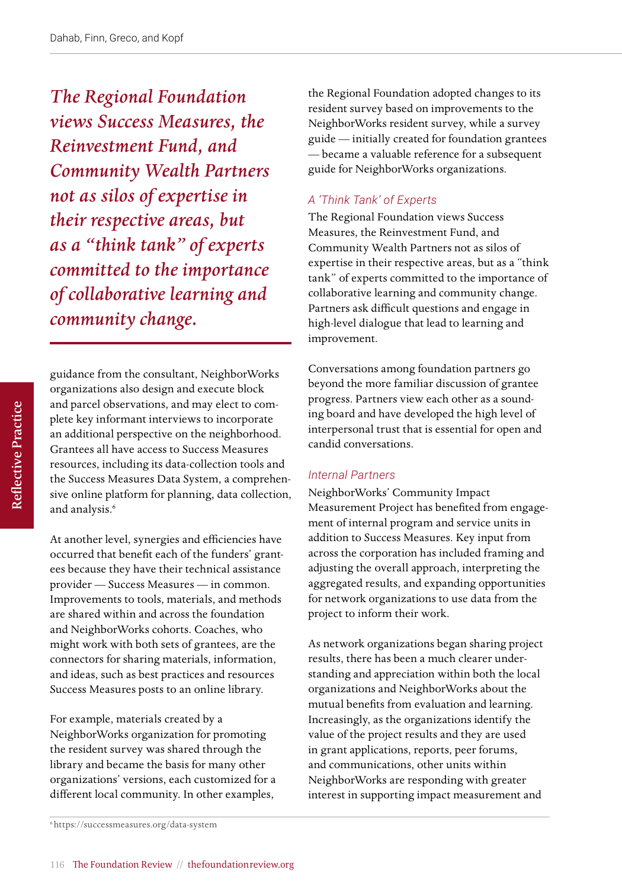*The Regional Foundation views Success Measures, the Reinvestment Fund, and Community Wealth Partners not as silos of expertise in their respective areas, but as a "think tank" of experts committed to the importance of collaborative learning and community change.*

Reflective Practice Reflective Practice

guidance from the consultant, NeighborWorks organizations also design and execute block and parcel observations, and may elect to complete key informant interviews to incorporate an additional perspective on the neighborhood. Grantees all have access to Success Measures resources, including its data-collection tools and the Success Measures Data System, a comprehensive online platform for planning, data collection, and analysis.<sup>6</sup>

At another level, synergies and efficiencies have occurred that benefit each of the funders' grantees because they have their technical assistance provider — Success Measures — in common. Improvements to tools, materials, and methods are shared within and across the foundation and NeighborWorks cohorts. Coaches, who might work with both sets of grantees, are the connectors for sharing materials, information, and ideas, such as best practices and resources Success Measures posts to an online library.

For example, materials created by a NeighborWorks organization for promoting the resident survey was shared through the library and became the basis for many other organizations' versions, each customized for a different local community. In other examples,

the Regional Foundation adopted changes to its resident survey based on improvements to the NeighborWorks resident survey, while a survey guide — initially created for foundation grantees — became a valuable reference for a subsequent guide for NeighborWorks organizations.

### *A 'Think Tank' of Experts*

The Regional Foundation views Success Measures, the Reinvestment Fund, and Community Wealth Partners not as silos of expertise in their respective areas, but as a "think tank" of experts committed to the importance of collaborative learning and community change. Partners ask difficult questions and engage in high-level dialogue that lead to learning and improvement.

Conversations among foundation partners go beyond the more familiar discussion of grantee progress. Partners view each other as a sounding board and have developed the high level of interpersonal trust that is essential for open and candid conversations.

#### *Internal Partners*

NeighborWorks' Community Impact Measurement Project has benefited from engagement of internal program and service units in addition to Success Measures. Key input from across the corporation has included framing and adjusting the overall approach, interpreting the aggregated results, and expanding opportunities for network organizations to use data from the project to inform their work.

As network organizations began sharing project results, there has been a much clearer understanding and appreciation within both the local organizations and NeighborWorks about the mutual benefits from evaluation and learning. Increasingly, as the organizations identify the value of the project results and they are used in grant applications, reports, peer forums, and communications, other units within NeighborWorks are responding with greater interest in supporting impact measurement and

<sup>6</sup> <https://successmeasures.org/data-system>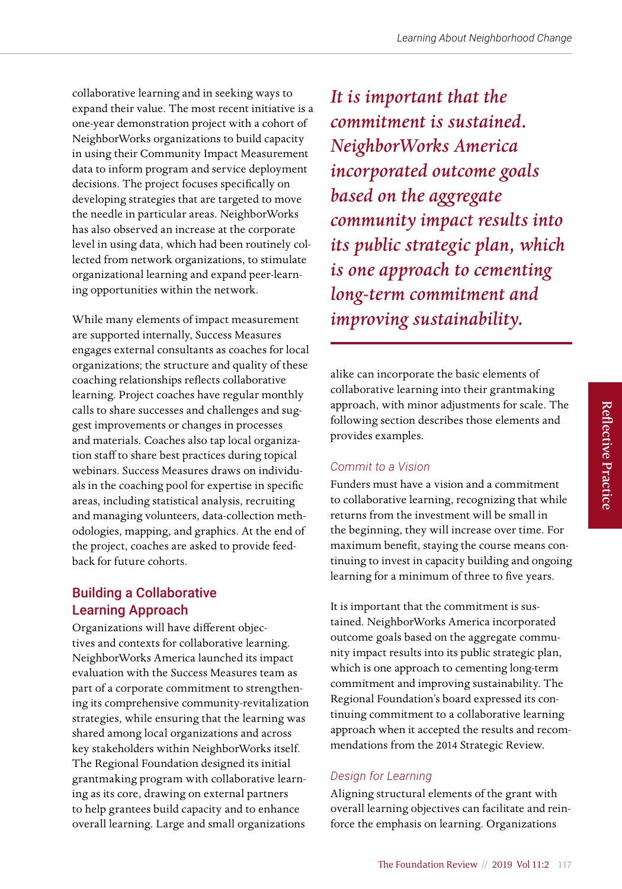collaborative learning and in seeking ways to expand their value. The most recent initiative is a one-year demonstration project with a cohort of NeighborWorks organizations to build capacity in using their Community Impact Measurement data to inform program and service deployment decisions. The project focuses specifically on developing strategies that are targeted to move the needle in particular areas. NeighborWorks has also observed an increase at the corporate level in using data, which had been routinely collected from network organizations, to stimulate organizational learning and expand peer-learning opportunities within the network.

While many elements of impact measurement are supported internally, Success Measures engages external consultants as coaches for local organizations; the structure and quality of these coaching relationships reflects collaborative learning. Project coaches have regular monthly calls to share successes and challenges and suggest improvements or changes in processes and materials. Coaches also tap local organization staff to share best practices during topical webinars. Success Measures draws on individuals in the coaching pool for expertise in specific areas, including statistical analysis, recruiting and managing volunteers, data-collection methodologies, mapping, and graphics. At the end of the project, coaches are asked to provide feedback for future cohorts.

## Building a Collaborative Learning Approach

Organizations will have different objectives and contexts for collaborative learning. NeighborWorks America launched its impact evaluation with the Success Measures team as part of a corporate commitment to strengthening its comprehensive community-revitalization strategies, while ensuring that the learning was shared among local organizations and across key stakeholders within NeighborWorks itself. The Regional Foundation designed its initial grantmaking program with collaborative learning as its core, drawing on external partners to help grantees build capacity and to enhance overall learning. Large and small organizations

*It is important that the commitment is sustained. NeighborWorks America incorporated outcome goals based on the aggregate community impact results into its public strategic plan, which is one approach to cementing long-term commitment and improving sustainability.* 

alike can incorporate the basic elements of collaborative learning into their grantmaking approach, with minor adjustments for scale. The following section describes those elements and provides examples.

### *Commit to a Vision*

Funders must have a vision and a commitment to collaborative learning, recognizing that while returns from the investment will be small in the beginning, they will increase over time. For maximum benefit, staying the course means continuing to invest in capacity building and ongoing learning for a minimum of three to five years.

It is important that the commitment is sustained. NeighborWorks America incorporated outcome goals based on the aggregate community impact results into its public strategic plan, which is one approach to cementing long-term commitment and improving sustainability. The Regional Foundation's board expressed its continuing commitment to a collaborative learning approach when it accepted the results and recommendations from the 2014 Strategic Review.

## *Design for Learning*

Aligning structural elements of the grant with overall learning objectives can facilitate and reinforce the emphasis on learning. Organizations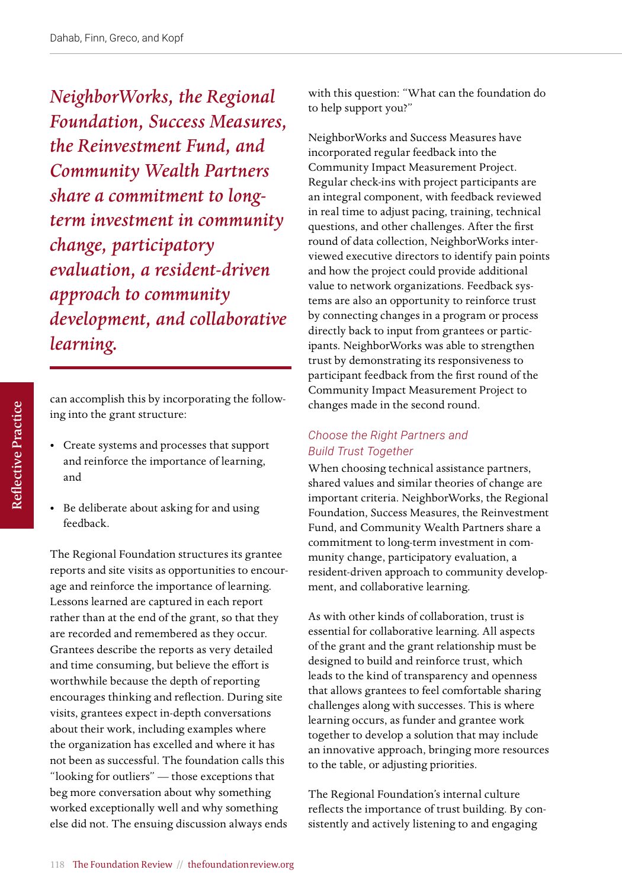*NeighborWorks, the Regional Foundation, Success Measures, the Reinvestment Fund, and Community Wealth Partners share a commitment to longterm investment in community change, participatory evaluation, a resident-driven approach to community development, and collaborative learning.* 

can accomplish this by incorporating the following into the grant structure:

- Create systems and processes that support and reinforce the importance of learning, and
- Be deliberate about asking for and using feedback.

The Regional Foundation structures its grantee reports and site visits as opportunities to encourage and reinforce the importance of learning. Lessons learned are captured in each report rather than at the end of the grant, so that they are recorded and remembered as they occur. Grantees describe the reports as very detailed and time consuming, but believe the effort is worthwhile because the depth of reporting encourages thinking and reflection. During site visits, grantees expect in-depth conversations about their work, including examples where the organization has excelled and where it has not been as successful. The foundation calls this "looking for outliers" — those exceptions that beg more conversation about why something worked exceptionally well and why something else did not. The ensuing discussion always ends with this question: "What can the foundation do to help support you?"

NeighborWorks and Success Measures have incorporated regular feedback into the Community Impact Measurement Project. Regular check-ins with project participants are an integral component, with feedback reviewed in real time to adjust pacing, training, technical questions, and other challenges. After the first round of data collection, NeighborWorks interviewed executive directors to identify pain points and how the project could provide additional value to network organizations. Feedback systems are also an opportunity to reinforce trust by connecting changes in a program or process directly back to input from grantees or participants. NeighborWorks was able to strengthen trust by demonstrating its responsiveness to participant feedback from the first round of the Community Impact Measurement Project to changes made in the second round.

#### *Choose the Right Partners and Build Trust Together*

When choosing technical assistance partners, shared values and similar theories of change are important criteria. NeighborWorks, the Regional Foundation, Success Measures, the Reinvestment Fund, and Community Wealth Partners share a commitment to long-term investment in community change, participatory evaluation, a resident-driven approach to community development, and collaborative learning.

As with other kinds of collaboration, trust is essential for collaborative learning. All aspects of the grant and the grant relationship must be designed to build and reinforce trust, which leads to the kind of transparency and openness that allows grantees to feel comfortable sharing challenges along with successes. This is where learning occurs, as funder and grantee work together to develop a solution that may include an innovative approach, bringing more resources to the table, or adjusting priorities.

The Regional Foundation's internal culture reflects the importance of trust building. By consistently and actively listening to and engaging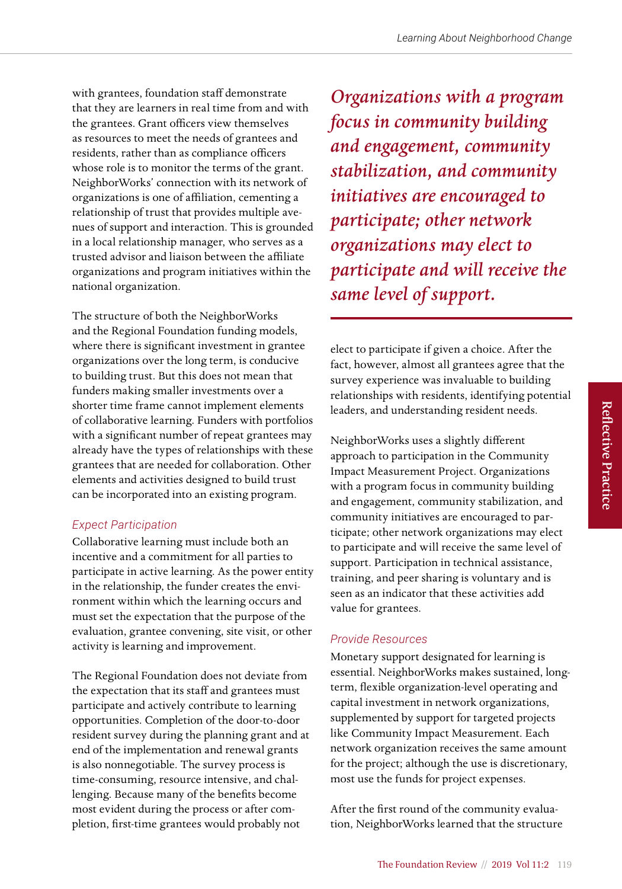with grantees, foundation staff demonstrate that they are learners in real time from and with the grantees. Grant officers view themselves as resources to meet the needs of grantees and residents, rather than as compliance officers whose role is to monitor the terms of the grant. NeighborWorks' connection with its network of organizations is one of affiliation, cementing a relationship of trust that provides multiple avenues of support and interaction. This is grounded in a local relationship manager, who serves as a trusted advisor and liaison between the affiliate organizations and program initiatives within the national organization.

The structure of both the NeighborWorks and the Regional Foundation funding models, where there is significant investment in grantee organizations over the long term, is conducive to building trust. But this does not mean that funders making smaller investments over a shorter time frame cannot implement elements of collaborative learning. Funders with portfolios with a significant number of repeat grantees may already have the types of relationships with these grantees that are needed for collaboration. Other elements and activities designed to build trust can be incorporated into an existing program.

### *Expect Participation*

Collaborative learning must include both an incentive and a commitment for all parties to participate in active learning. As the power entity in the relationship, the funder creates the environment within which the learning occurs and must set the expectation that the purpose of the evaluation, grantee convening, site visit, or other activity is learning and improvement.

The Regional Foundation does not deviate from the expectation that its staff and grantees must participate and actively contribute to learning opportunities. Completion of the door-to-door resident survey during the planning grant and at end of the implementation and renewal grants is also nonnegotiable. The survey process is time-consuming, resource intensive, and challenging. Because many of the benefits become most evident during the process or after completion, first-time grantees would probably not

*Organizations with a program focus in community building and engagement, community stabilization, and community initiatives are encouraged to participate; other network organizations may elect to participate and will receive the same level of support.* 

elect to participate if given a choice. After the fact, however, almost all grantees agree that the survey experience was invaluable to building relationships with residents, identifying potential leaders, and understanding resident needs.

NeighborWorks uses a slightly different approach to participation in the Community Impact Measurement Project. Organizations with a program focus in community building and engagement, community stabilization, and community initiatives are encouraged to participate; other network organizations may elect to participate and will receive the same level of support. Participation in technical assistance, training, and peer sharing is voluntary and is seen as an indicator that these activities add value for grantees.

### *Provide Resources*

Monetary support designated for learning is essential. NeighborWorks makes sustained, longterm, flexible organization-level operating and capital investment in network organizations, supplemented by support for targeted projects like Community Impact Measurement. Each network organization receives the same amount for the project; although the use is discretionary, most use the funds for project expenses.

After the first round of the community evaluation, NeighborWorks learned that the structure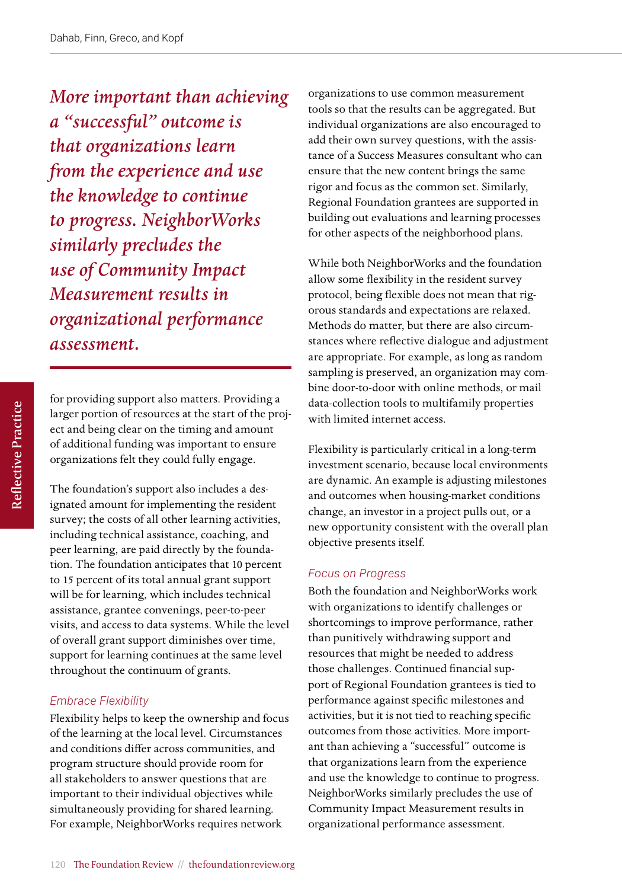*More important than achieving a "successful" outcome is that organizations learn from the experience and use the knowledge to continue to progress. NeighborWorks similarly precludes the use of Community Impact Measurement results in organizational performance assessment.*

for providing support also matters. Providing a larger portion of resources at the start of the project and being clear on the timing and amount of additional funding was important to ensure organizations felt they could fully engage.

The foundation's support also includes a designated amount for implementing the resident survey; the costs of all other learning activities, including technical assistance, coaching, and peer learning, are paid directly by the foundation. The foundation anticipates that 10 percent to 15 percent of its total annual grant support will be for learning, which includes technical assistance, grantee convenings, peer-to-peer visits, and access to data systems. While the level of overall grant support diminishes over time, support for learning continues at the same level throughout the continuum of grants.

#### *Embrace Flexibility*

Flexibility helps to keep the ownership and focus of the learning at the local level. Circumstances and conditions differ across communities, and program structure should provide room for all stakeholders to answer questions that are important to their individual objectives while simultaneously providing for shared learning. For example, NeighborWorks requires network

organizations to use common measurement tools so that the results can be aggregated. But individual organizations are also encouraged to add their own survey questions, with the assistance of a Success Measures consultant who can ensure that the new content brings the same rigor and focus as the common set. Similarly, Regional Foundation grantees are supported in building out evaluations and learning processes for other aspects of the neighborhood plans.

While both NeighborWorks and the foundation allow some flexibility in the resident survey protocol, being flexible does not mean that rigorous standards and expectations are relaxed. Methods do matter, but there are also circumstances where reflective dialogue and adjustment are appropriate. For example, as long as random sampling is preserved, an organization may combine door-to-door with online methods, or mail data-collection tools to multifamily properties with limited internet access.

Flexibility is particularly critical in a long-term investment scenario, because local environments are dynamic. An example is adjusting milestones and outcomes when housing-market conditions change, an investor in a project pulls out, or a new opportunity consistent with the overall plan objective presents itself.

#### *Focus on Progress*

Both the foundation and NeighborWorks work with organizations to identify challenges or shortcomings to improve performance, rather than punitively withdrawing support and resources that might be needed to address those challenges. Continued financial support of Regional Foundation grantees is tied to performance against specific milestones and activities, but it is not tied to reaching specific outcomes from those activities. More important than achieving a "successful" outcome is that organizations learn from the experience and use the knowledge to continue to progress. NeighborWorks similarly precludes the use of Community Impact Measurement results in organizational performance assessment.